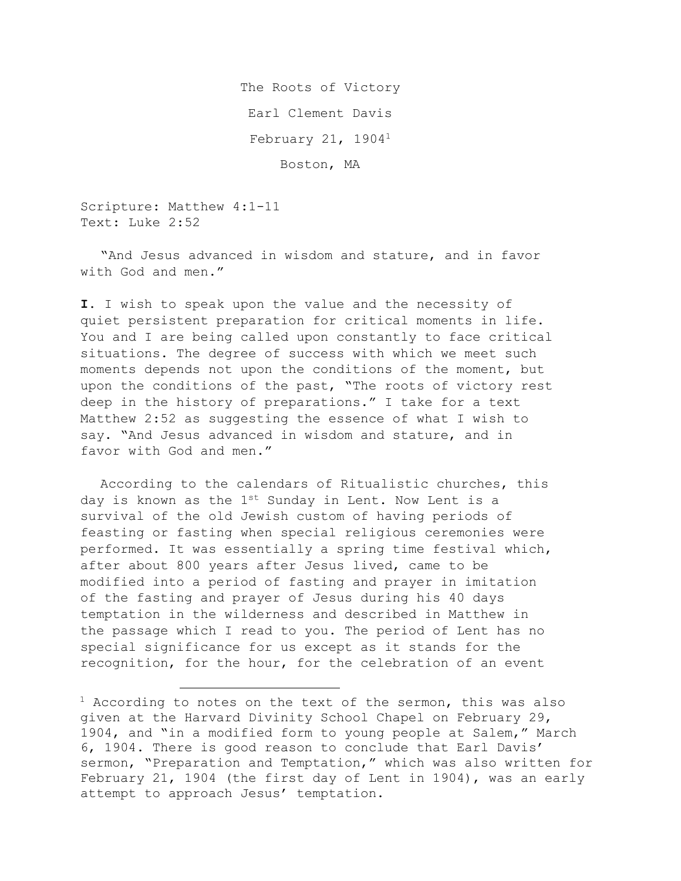The Roots of Victory Earl Clement Davis February 21, 19041 Boston, MA

Scripture: Matthew 4:1-11 Text: Luke 2:52

"And Jesus advanced in wisdom and stature, and in favor with God and men."

**I.** I wish to speak upon the value and the necessity of quiet persistent preparation for critical moments in life. You and I are being called upon constantly to face critical situations. The degree of success with which we meet such moments depends not upon the conditions of the moment, but upon the conditions of the past, "The roots of victory rest deep in the history of preparations." I take for a text Matthew 2:52 as suggesting the essence of what I wish to say. "And Jesus advanced in wisdom and stature, and in favor with God and men."

According to the calendars of Ritualistic churches, this day is known as the  $1^{st}$  Sunday in Lent. Now Lent is a survival of the old Jewish custom of having periods of feasting or fasting when special religious ceremonies were performed. It was essentially a spring time festival which, after about 800 years after Jesus lived, came to be modified into a period of fasting and prayer in imitation of the fasting and prayer of Jesus during his 40 days temptation in the wilderness and described in Matthew in the passage which I read to you. The period of Lent has no special significance for us except as it stands for the recognition, for the hour, for the celebration of an event

 $<sup>1</sup>$  According to notes on the text of the sermon, this was also</sup> given at the Harvard Divinity School Chapel on February 29, 1904, and "in a modified form to young people at Salem," March 6, 1904. There is good reason to conclude that Earl Davis' sermon, "Preparation and Temptation," which was also written for February 21, 1904 (the first day of Lent in 1904), was an early attempt to approach Jesus' temptation.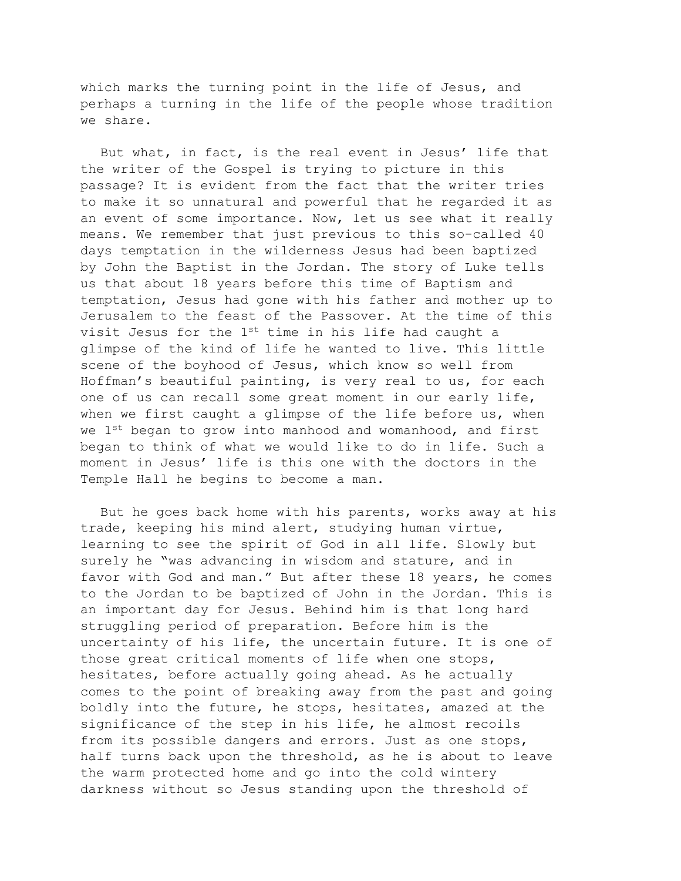which marks the turning point in the life of Jesus, and perhaps a turning in the life of the people whose tradition we share.

But what, in fact, is the real event in Jesus' life that the writer of the Gospel is trying to picture in this passage? It is evident from the fact that the writer tries to make it so unnatural and powerful that he regarded it as an event of some importance. Now, let us see what it really means. We remember that just previous to this so-called 40 days temptation in the wilderness Jesus had been baptized by John the Baptist in the Jordan. The story of Luke tells us that about 18 years before this time of Baptism and temptation, Jesus had gone with his father and mother up to Jerusalem to the feast of the Passover. At the time of this visit Jesus for the  $1^{st}$  time in his life had caught a glimpse of the kind of life he wanted to live. This little scene of the boyhood of Jesus, which know so well from Hoffman's beautiful painting, is very real to us, for each one of us can recall some great moment in our early life, when we first caught a glimpse of the life before us, when we 1<sup>st</sup> began to grow into manhood and womanhood, and first began to think of what we would like to do in life. Such a moment in Jesus' life is this one with the doctors in the Temple Hall he begins to become a man.

But he goes back home with his parents, works away at his trade, keeping his mind alert, studying human virtue, learning to see the spirit of God in all life. Slowly but surely he "was advancing in wisdom and stature, and in favor with God and man." But after these 18 years, he comes to the Jordan to be baptized of John in the Jordan. This is an important day for Jesus. Behind him is that long hard struggling period of preparation. Before him is the uncertainty of his life, the uncertain future. It is one of those great critical moments of life when one stops, hesitates, before actually going ahead. As he actually comes to the point of breaking away from the past and going boldly into the future, he stops, hesitates, amazed at the significance of the step in his life, he almost recoils from its possible dangers and errors. Just as one stops, half turns back upon the threshold, as he is about to leave the warm protected home and go into the cold wintery darkness without so Jesus standing upon the threshold of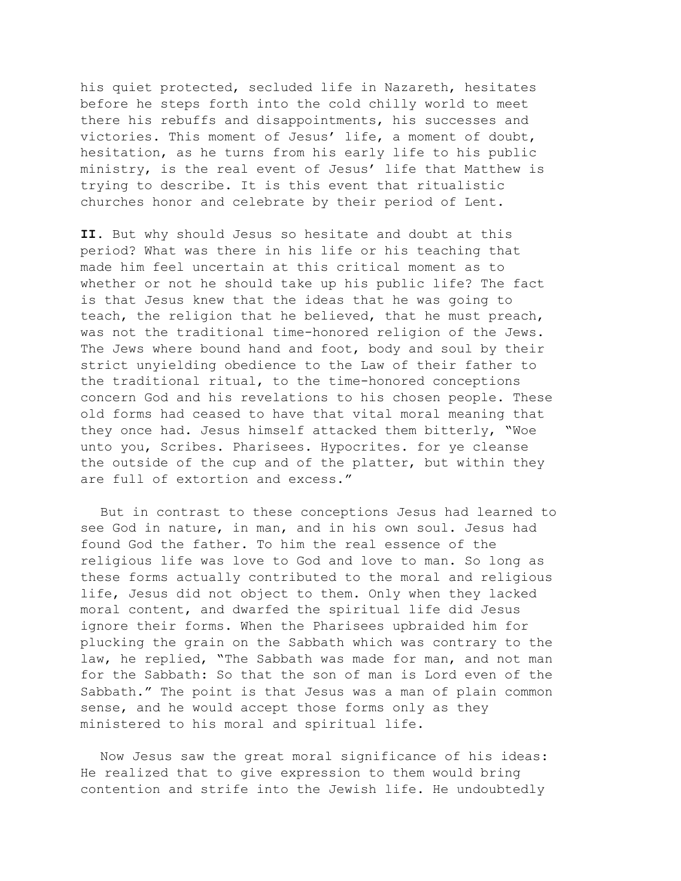his quiet protected, secluded life in Nazareth, hesitates before he steps forth into the cold chilly world to meet there his rebuffs and disappointments, his successes and victories. This moment of Jesus' life, a moment of doubt, hesitation, as he turns from his early life to his public ministry, is the real event of Jesus' life that Matthew is trying to describe. It is this event that ritualistic churches honor and celebrate by their period of Lent.

**II.** But why should Jesus so hesitate and doubt at this period? What was there in his life or his teaching that made him feel uncertain at this critical moment as to whether or not he should take up his public life? The fact is that Jesus knew that the ideas that he was going to teach, the religion that he believed, that he must preach, was not the traditional time-honored religion of the Jews. The Jews where bound hand and foot, body and soul by their strict unyielding obedience to the Law of their father to the traditional ritual, to the time-honored conceptions concern God and his revelations to his chosen people. These old forms had ceased to have that vital moral meaning that they once had. Jesus himself attacked them bitterly, "Woe unto you, Scribes. Pharisees. Hypocrites. for ye cleanse the outside of the cup and of the platter, but within they are full of extortion and excess."

But in contrast to these conceptions Jesus had learned to see God in nature, in man, and in his own soul. Jesus had found God the father. To him the real essence of the religious life was love to God and love to man. So long as these forms actually contributed to the moral and religious life, Jesus did not object to them. Only when they lacked moral content, and dwarfed the spiritual life did Jesus ignore their forms. When the Pharisees upbraided him for plucking the grain on the Sabbath which was contrary to the law, he replied, "The Sabbath was made for man, and not man for the Sabbath: So that the son of man is Lord even of the Sabbath." The point is that Jesus was a man of plain common sense, and he would accept those forms only as they ministered to his moral and spiritual life.

Now Jesus saw the great moral significance of his ideas: He realized that to give expression to them would bring contention and strife into the Jewish life. He undoubtedly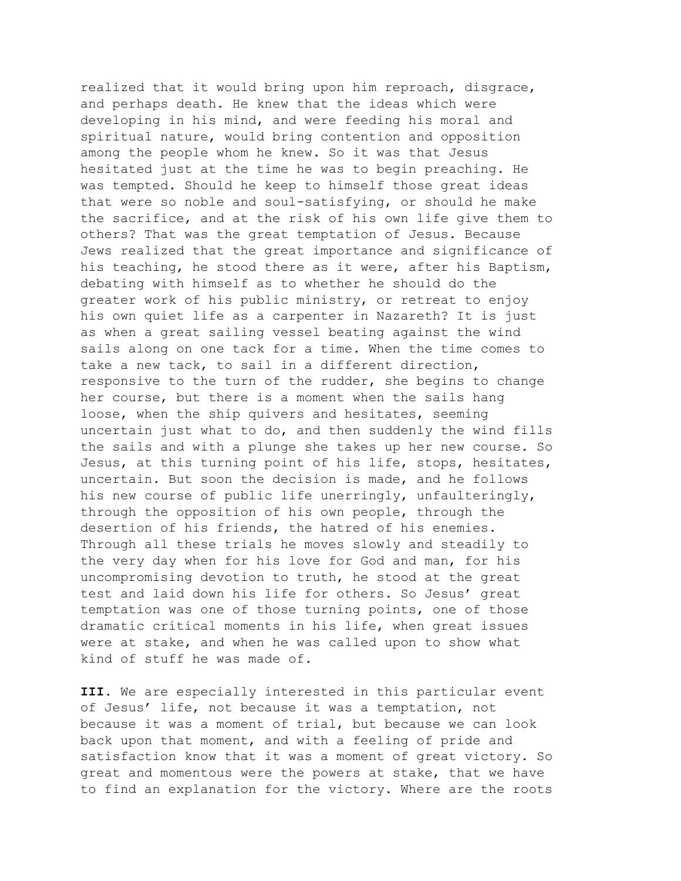realized that it would bring upon him reproach, disgrace, and perhaps death. He knew that the ideas which were developing in his mind, and were feeding his moral and spiritual nature, would bring contention and opposition among the people whom he knew. So it was that Jesus hesitated just at the time he was to begin preaching. He was tempted. Should he keep to himself those great ideas that were so noble and soul-satisfying, or should he make the sacrifice, and at the risk of his own life give them to others? That was the great temptation of Jesus. Because Jews realized that the great importance and significance of his teaching, he stood there as it were, after his Baptism, debating with himself as to whether he should do the greater work of his public ministry, or retreat to enjoy his own quiet life as a carpenter in Nazareth? It is just as when a great sailing vessel beating against the wind sails along on one tack for a time. When the time comes to take a new tack, to sail in a different direction, responsive to the turn of the rudder, she begins to change her course, but there is a moment when the sails hang loose, when the ship quivers and hesitates, seeming uncertain just what to do, and then suddenly the wind fills the sails and with a plunge she takes up her new course. So Jesus, at this turning point of his life, stops, hesitates, uncertain. But soon the decision is made, and he follows his new course of public life unerringly, unfaulteringly, through the opposition of his own people, through the desertion of his friends, the hatred of his enemies. Through all these trials he moves slowly and steadily to the very day when for his love for God and man, for his uncompromising devotion to truth, he stood at the great test and laid down his life for others. So Jesus' great temptation was one of those turning points, one of those dramatic critical moments in his life, when great issues were at stake, and when he was called upon to show what kind of stuff he was made of.

**III.** We are especially interested in this particular event of Jesus' life, not because it was a temptation, not because it was a moment of trial, but because we can look back upon that moment, and with a feeling of pride and satisfaction know that it was a moment of great victory. So great and momentous were the powers at stake, that we have to find an explanation for the victory. Where are the roots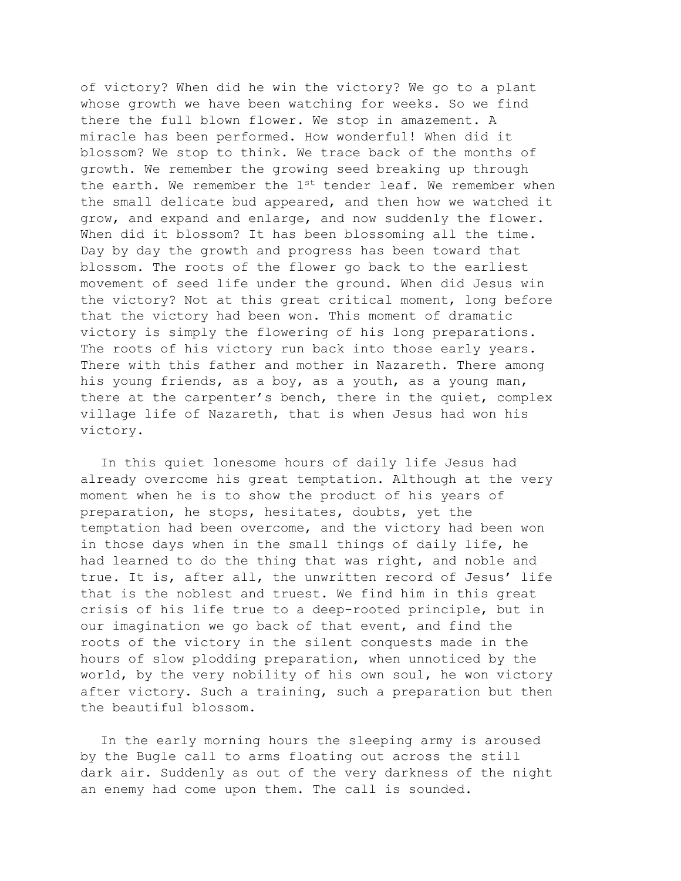of victory? When did he win the victory? We go to a plant whose growth we have been watching for weeks. So we find there the full blown flower. We stop in amazement. A miracle has been performed. How wonderful! When did it blossom? We stop to think. We trace back of the months of growth. We remember the growing seed breaking up through the earth. We remember the  $1^{st}$  tender leaf. We remember when the small delicate bud appeared, and then how we watched it grow, and expand and enlarge, and now suddenly the flower. When did it blossom? It has been blossoming all the time. Day by day the growth and progress has been toward that blossom. The roots of the flower go back to the earliest movement of seed life under the ground. When did Jesus win the victory? Not at this great critical moment, long before that the victory had been won. This moment of dramatic victory is simply the flowering of his long preparations. The roots of his victory run back into those early years. There with this father and mother in Nazareth. There among his young friends, as a boy, as a youth, as a young man, there at the carpenter's bench, there in the quiet, complex village life of Nazareth, that is when Jesus had won his victory.

In this quiet lonesome hours of daily life Jesus had already overcome his great temptation. Although at the very moment when he is to show the product of his years of preparation, he stops, hesitates, doubts, yet the temptation had been overcome, and the victory had been won in those days when in the small things of daily life, he had learned to do the thing that was right, and noble and true. It is, after all, the unwritten record of Jesus' life that is the noblest and truest. We find him in this great crisis of his life true to a deep-rooted principle, but in our imagination we go back of that event, and find the roots of the victory in the silent conquests made in the hours of slow plodding preparation, when unnoticed by the world, by the very nobility of his own soul, he won victory after victory. Such a training, such a preparation but then the beautiful blossom.

In the early morning hours the sleeping army is aroused by the Bugle call to arms floating out across the still dark air. Suddenly as out of the very darkness of the night an enemy had come upon them. The call is sounded.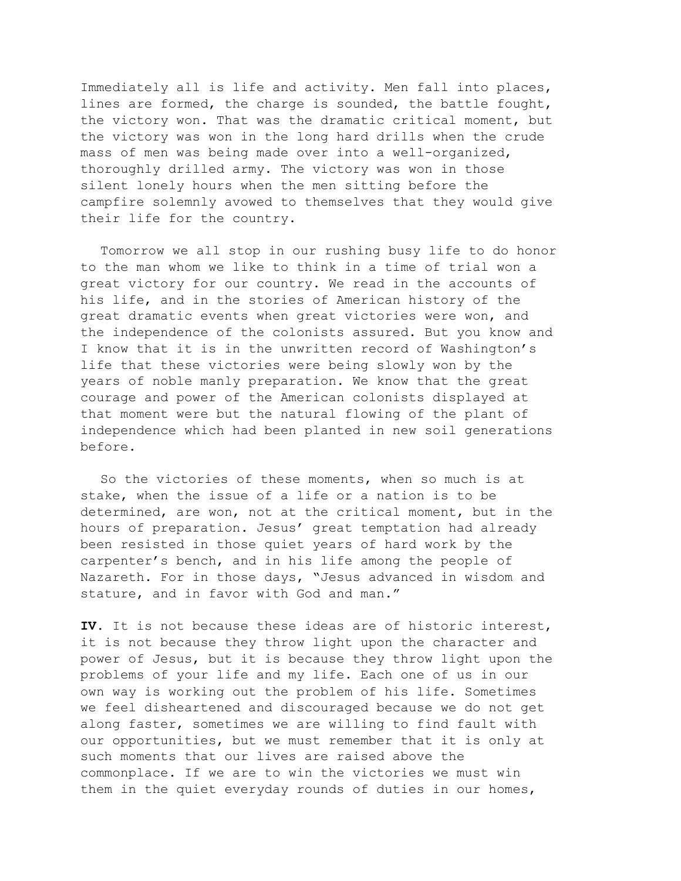Immediately all is life and activity. Men fall into places, lines are formed, the charge is sounded, the battle fought, the victory won. That was the dramatic critical moment, but the victory was won in the long hard drills when the crude mass of men was being made over into a well-organized, thoroughly drilled army. The victory was won in those silent lonely hours when the men sitting before the campfire solemnly avowed to themselves that they would give their life for the country.

Tomorrow we all stop in our rushing busy life to do honor to the man whom we like to think in a time of trial won a great victory for our country. We read in the accounts of his life, and in the stories of American history of the great dramatic events when great victories were won, and the independence of the colonists assured. But you know and I know that it is in the unwritten record of Washington's life that these victories were being slowly won by the years of noble manly preparation. We know that the great courage and power of the American colonists displayed at that moment were but the natural flowing of the plant of independence which had been planted in new soil generations before.

So the victories of these moments, when so much is at stake, when the issue of a life or a nation is to be determined, are won, not at the critical moment, but in the hours of preparation. Jesus' great temptation had already been resisted in those quiet years of hard work by the carpenter's bench, and in his life among the people of Nazareth. For in those days, "Jesus advanced in wisdom and stature, and in favor with God and man."

**IV.** It is not because these ideas are of historic interest, it is not because they throw light upon the character and power of Jesus, but it is because they throw light upon the problems of your life and my life. Each one of us in our own way is working out the problem of his life. Sometimes we feel disheartened and discouraged because we do not get along faster, sometimes we are willing to find fault with our opportunities, but we must remember that it is only at such moments that our lives are raised above the commonplace. If we are to win the victories we must win them in the quiet everyday rounds of duties in our homes,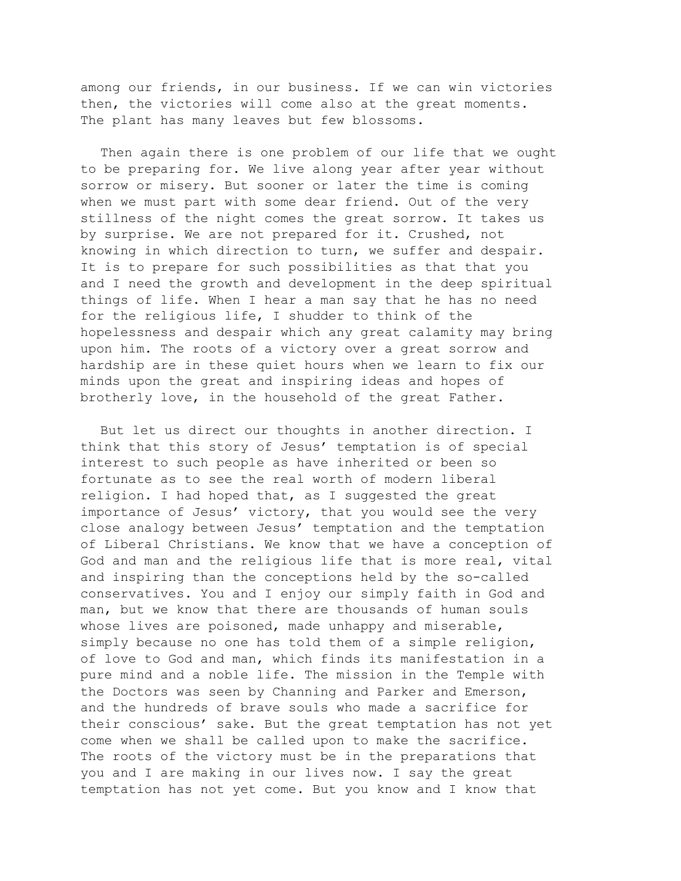among our friends, in our business. If we can win victories then, the victories will come also at the great moments. The plant has many leaves but few blossoms.

Then again there is one problem of our life that we ought to be preparing for. We live along year after year without sorrow or misery. But sooner or later the time is coming when we must part with some dear friend. Out of the very stillness of the night comes the great sorrow. It takes us by surprise. We are not prepared for it. Crushed, not knowing in which direction to turn, we suffer and despair. It is to prepare for such possibilities as that that you and I need the growth and development in the deep spiritual things of life. When I hear a man say that he has no need for the religious life, I shudder to think of the hopelessness and despair which any great calamity may bring upon him. The roots of a victory over a great sorrow and hardship are in these quiet hours when we learn to fix our minds upon the great and inspiring ideas and hopes of brotherly love, in the household of the great Father.

But let us direct our thoughts in another direction. I think that this story of Jesus' temptation is of special interest to such people as have inherited or been so fortunate as to see the real worth of modern liberal religion. I had hoped that, as I suggested the great importance of Jesus' victory, that you would see the very close analogy between Jesus' temptation and the temptation of Liberal Christians. We know that we have a conception of God and man and the religious life that is more real, vital and inspiring than the conceptions held by the so-called conservatives. You and I enjoy our simply faith in God and man, but we know that there are thousands of human souls whose lives are poisoned, made unhappy and miserable, simply because no one has told them of a simple religion, of love to God and man, which finds its manifestation in a pure mind and a noble life. The mission in the Temple with the Doctors was seen by Channing and Parker and Emerson, and the hundreds of brave souls who made a sacrifice for their conscious' sake. But the great temptation has not yet come when we shall be called upon to make the sacrifice. The roots of the victory must be in the preparations that you and I are making in our lives now. I say the great temptation has not yet come. But you know and I know that